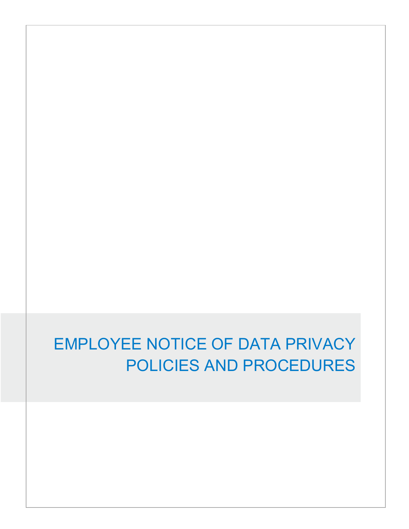# EMPLOYEE NOTICE OF DATA PRIVACY POLICIES AND PROCEDURES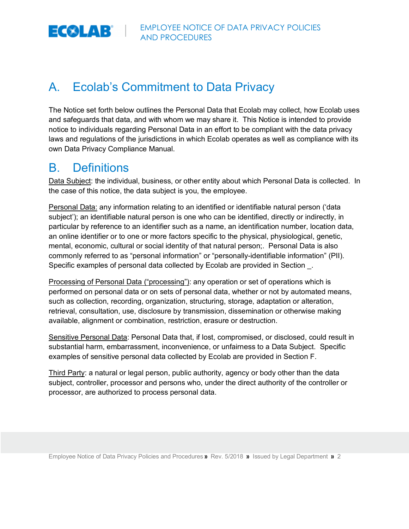

### A. Ecolab's Commitment to Data Privacy

The Notice set forth below outlines the Personal Data that Ecolab may collect, how Ecolab uses and safeguards that data, and with whom we may share it. This Notice is intended to provide notice to individuals regarding Personal Data in an effort to be compliant with the data privacy laws and regulations of the jurisdictions in which Ecolab operates as well as compliance with its own Data Privacy Compliance Manual.

#### B. Definitions

Data Subject: the individual, business, or other entity about which Personal Data is collected. In the case of this notice, the data subject is you, the employee.

Personal Data: any information relating to an identified or identifiable natural person ('data subject'); an identifiable natural person is one who can be identified, directly or indirectly, in particular by reference to an identifier such as a name, an identification number, location data, an online identifier or to one or more factors specific to the physical, physiological, genetic, mental, economic, cultural or social identity of that natural person;. Personal Data is also commonly referred to as "personal information" or "personally-identifiable information" (PII). Specific examples of personal data collected by Ecolab are provided in Section \_.

Processing of Personal Data ("processing"): any operation or set of operations which is performed on personal data or on sets of personal data, whether or not by automated means, such as collection, recording, organization, structuring, storage, adaptation or alteration, retrieval, consultation, use, disclosure by transmission, dissemination or otherwise making available, alignment or combination, restriction, erasure or destruction.

Sensitive Personal Data: Personal Data that, if lost, compromised, or disclosed, could result in substantial harm, embarrassment, inconvenience, or unfairness to a Data Subject. Specific examples of sensitive personal data collected by Ecolab are provided in Section F.

Third Party: a natural or legal person, public authority, agency or body other than the data subject, controller, processor and persons who, under the direct authority of the controller or processor, are authorized to process personal data.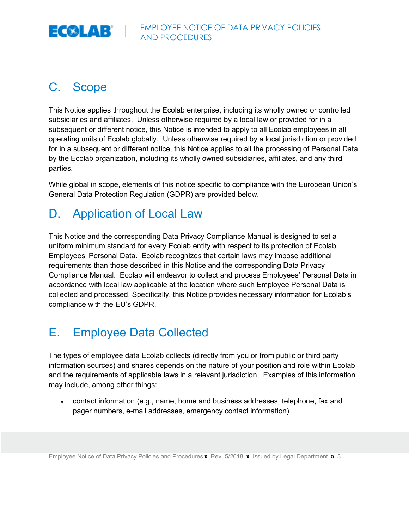

## C. Scope

This Notice applies throughout the Ecolab enterprise, including its wholly owned or controlled subsidiaries and affiliates. Unless otherwise required by a local law or provided for in a subsequent or different notice, this Notice is intended to apply to all Ecolab employees in all operating units of Ecolab globally. Unless otherwise required by a local jurisdiction or provided for in a subsequent or different notice, this Notice applies to all the processing of Personal Data by the Ecolab organization, including its wholly owned subsidiaries, affiliates, and any third parties.

While global in scope, elements of this notice specific to compliance with the European Union's General Data Protection Regulation (GDPR) are provided below.

## D. Application of Local Law

This Notice and the corresponding Data Privacy Compliance Manual is designed to set a uniform minimum standard for every Ecolab entity with respect to its protection of Ecolab Employees' Personal Data. Ecolab recognizes that certain laws may impose additional requirements than those described in this Notice and the corresponding Data Privacy Compliance Manual. Ecolab will endeavor to collect and process Employees' Personal Data in accordance with local law applicable at the location where such Employee Personal Data is collected and processed. Specifically, this Notice provides necessary information for Ecolab's compliance with the EU's GDPR.

## E. Employee Data Collected

The types of employee data Ecolab collects (directly from you or from public or third party information sources) and shares depends on the nature of your position and role within Ecolab and the requirements of applicable laws in a relevant jurisdiction. Examples of this information may include, among other things:

• contact information (e.g., name, home and business addresses, telephone, fax and pager numbers, e-mail addresses, emergency contact information)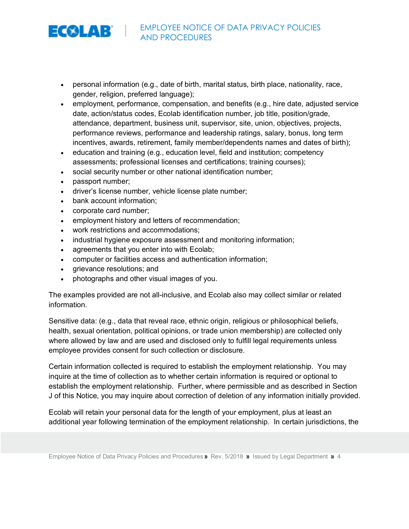

- personal information (e.g., date of birth, marital status, birth place, nationality, race, gender, religion, preferred language);
- employment, performance, compensation, and benefits (e.g., hire date, adjusted service date, action/status codes, Ecolab identification number, job title, position/grade, attendance, department, business unit, supervisor, site, union, objectives, projects, performance reviews, performance and leadership ratings, salary, bonus, long term incentives, awards, retirement, family member/dependents names and dates of birth);
- education and training (e.g., education level, field and institution; competency assessments; professional licenses and certifications; training courses);
- social security number or other national identification number;
- passport number;
- driver's license number, vehicle license plate number;
- bank account information;
- corporate card number;
- employment history and letters of recommendation;
- work restrictions and accommodations;
- industrial hygiene exposure assessment and monitoring information;
- agreements that you enter into with Ecolab;
- computer or facilities access and authentication information;
- grievance resolutions; and
- photographs and other visual images of you.

The examples provided are not all-inclusive, and Ecolab also may collect similar or related information.

Sensitive data: (e.g., data that reveal race, ethnic origin, religious or philosophical beliefs, health, sexual orientation, political opinions, or trade union membership) are collected only where allowed by law and are used and disclosed only to fulfill legal requirements unless employee provides consent for such collection or disclosure.

Certain information collected is required to establish the employment relationship. You may inquire at the time of collection as to whether certain information is required or optional to establish the employment relationship. Further, where permissible and as described in Section J of this Notice, you may inquire about correction of deletion of any information initially provided.

Ecolab will retain your personal data for the length of your employment, plus at least an additional year following termination of the employment relationship. In certain jurisdictions, the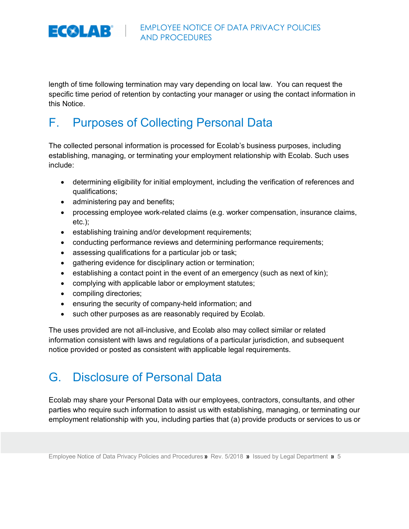

length of time following termination may vary depending on local law. You can request the specific time period of retention by contacting your manager or using the contact information in this Notice.

## F. Purposes of Collecting Personal Data

The collected personal information is processed for Ecolab's business purposes, including establishing, managing, or terminating your employment relationship with Ecolab. Such uses include:

- determining eligibility for initial employment, including the verification of references and qualifications;
- administering pay and benefits;
- processing employee work-related claims (e.g. worker compensation, insurance claims, etc.);
- establishing training and/or development requirements;
- conducting performance reviews and determining performance requirements;
- assessing qualifications for a particular job or task;
- gathering evidence for disciplinary action or termination;
- establishing a contact point in the event of an emergency (such as next of kin);
- complying with applicable labor or employment statutes;
- compiling directories;
- ensuring the security of company-held information; and
- such other purposes as are reasonably required by Ecolab.

The uses provided are not all-inclusive, and Ecolab also may collect similar or related information consistent with laws and regulations of a particular jurisdiction, and subsequent notice provided or posted as consistent with applicable legal requirements.

## G. Disclosure of Personal Data

Ecolab may share your Personal Data with our employees, contractors, consultants, and other parties who require such information to assist us with establishing, managing, or terminating our employment relationship with you, including parties that (a) provide products or services to us or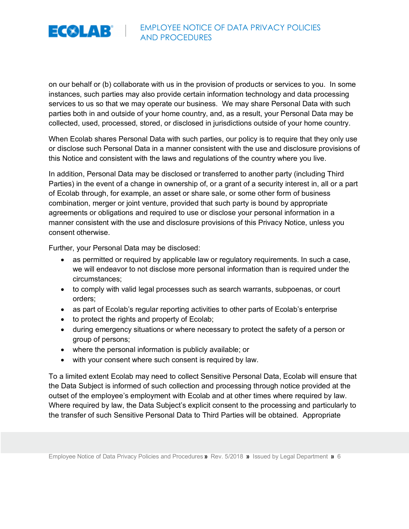

on our behalf or (b) collaborate with us in the provision of products or services to you. In some instances, such parties may also provide certain information technology and data processing services to us so that we may operate our business. We may share Personal Data with such parties both in and outside of your home country, and, as a result, your Personal Data may be collected, used, processed, stored, or disclosed in jurisdictions outside of your home country.

When Ecolab shares Personal Data with such parties, our policy is to require that they only use or disclose such Personal Data in a manner consistent with the use and disclosure provisions of this Notice and consistent with the laws and regulations of the country where you live.

In addition, Personal Data may be disclosed or transferred to another party (including Third Parties) in the event of a change in ownership of, or a grant of a security interest in, all or a part of Ecolab through, for example, an asset or share sale, or some other form of business combination, merger or joint venture, provided that such party is bound by appropriate agreements or obligations and required to use or disclose your personal information in a manner consistent with the use and disclosure provisions of this Privacy Notice, unless you consent otherwise.

Further, your Personal Data may be disclosed:

- as permitted or required by applicable law or regulatory requirements. In such a case, we will endeavor to not disclose more personal information than is required under the circumstances;
- to comply with valid legal processes such as search warrants, subpoenas, or court orders;
- as part of Ecolab's regular reporting activities to other parts of Ecolab's enterprise
- to protect the rights and property of Ecolab;
- during emergency situations or where necessary to protect the safety of a person or group of persons;
- where the personal information is publicly available; or
- with your consent where such consent is required by law.

To a limited extent Ecolab may need to collect Sensitive Personal Data, Ecolab will ensure that the Data Subject is informed of such collection and processing through notice provided at the outset of the employee's employment with Ecolab and at other times where required by law. Where required by law, the Data Subject's explicit consent to the processing and particularly to the transfer of such Sensitive Personal Data to Third Parties will be obtained. Appropriate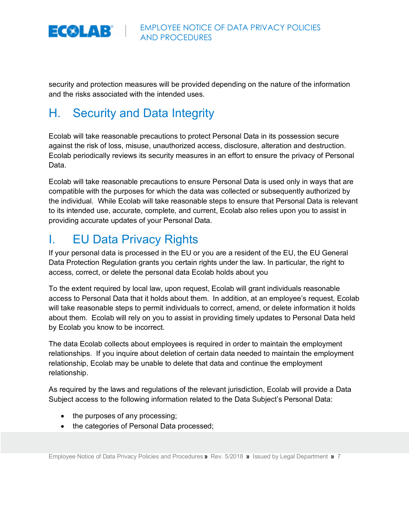

security and protection measures will be provided depending on the nature of the information and the risks associated with the intended uses.

## H. Security and Data Integrity

Ecolab will take reasonable precautions to protect Personal Data in its possession secure against the risk of loss, misuse, unauthorized access, disclosure, alteration and destruction. Ecolab periodically reviews its security measures in an effort to ensure the privacy of Personal Data.

Ecolab will take reasonable precautions to ensure Personal Data is used only in ways that are compatible with the purposes for which the data was collected or subsequently authorized by the individual. While Ecolab will take reasonable steps to ensure that Personal Data is relevant to its intended use, accurate, complete, and current, Ecolab also relies upon you to assist in providing accurate updates of your Personal Data.

## I. EU Data Privacy Rights

If your personal data is processed in the EU or you are a resident of the EU, the EU General Data Protection Regulation grants you certain rights under the law. In particular, the right to access, correct, or delete the personal data Ecolab holds about you

To the extent required by local law, upon request, Ecolab will grant individuals reasonable access to Personal Data that it holds about them. In addition, at an employee's request, Ecolab will take reasonable steps to permit individuals to correct, amend, or delete information it holds about them. Ecolab will rely on you to assist in providing timely updates to Personal Data held by Ecolab you know to be incorrect.

The data Ecolab collects about employees is required in order to maintain the employment relationships. If you inquire about deletion of certain data needed to maintain the employment relationship, Ecolab may be unable to delete that data and continue the employment relationship.

As required by the laws and regulations of the relevant jurisdiction, Ecolab will provide a Data Subject access to the following information related to the Data Subject's Personal Data:

- the purposes of any processing;
- the categories of Personal Data processed;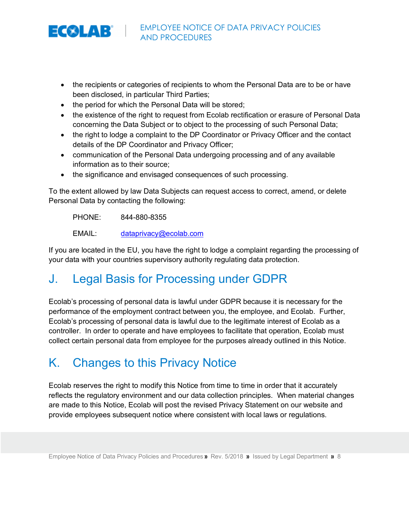

- the recipients or categories of recipients to whom the Personal Data are to be or have been disclosed, in particular Third Parties;
- the period for which the Personal Data will be stored;
- the existence of the right to request from Ecolab rectification or erasure of Personal Data concerning the Data Subject or to object to the processing of such Personal Data;
- the right to lodge a complaint to the DP Coordinator or Privacy Officer and the contact details of the DP Coordinator and Privacy Officer;
- communication of the Personal Data undergoing processing and of any available information as to their source;
- the significance and envisaged consequences of such processing.

To the extent allowed by law Data Subjects can request access to correct, amend, or delete Personal Data by contacting the following:

PHONE: 844-880-8355

EMAIL: dataprivacy@ecolab.com

If you are located in the EU, you have the right to lodge a complaint regarding the processing of your data with your countries supervisory authority regulating data protection.

## J. Legal Basis for Processing under GDPR

Ecolab's processing of personal data is lawful under GDPR because it is necessary for the performance of the employment contract between you, the employee, and Ecolab. Further, Ecolab's processing of personal data is lawful due to the legitimate interest of Ecolab as a controller. In order to operate and have employees to facilitate that operation, Ecolab must collect certain personal data from employee for the purposes already outlined in this Notice.

### K. Changes to this Privacy Notice

Ecolab reserves the right to modify this Notice from time to time in order that it accurately reflects the regulatory environment and our data collection principles. When material changes are made to this Notice, Ecolab will post the revised Privacy Statement on our website and provide employees subsequent notice where consistent with local laws or regulations.